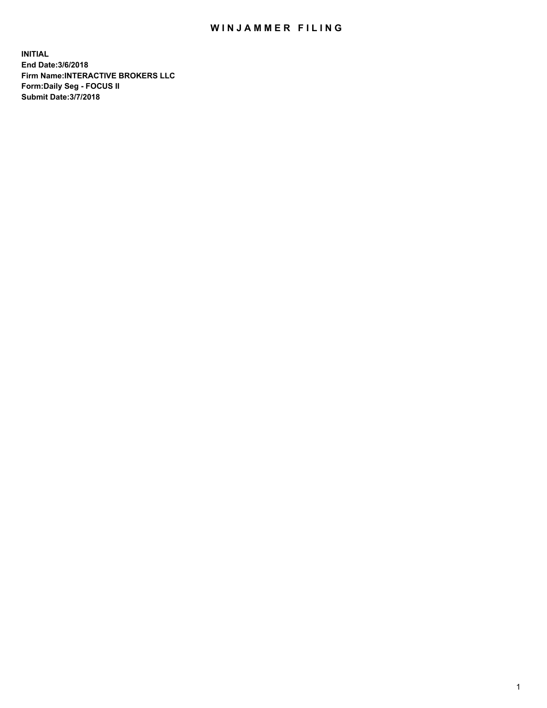## WIN JAMMER FILING

**INITIAL End Date:3/6/2018 Firm Name:INTERACTIVE BROKERS LLC Form:Daily Seg - FOCUS II Submit Date:3/7/2018**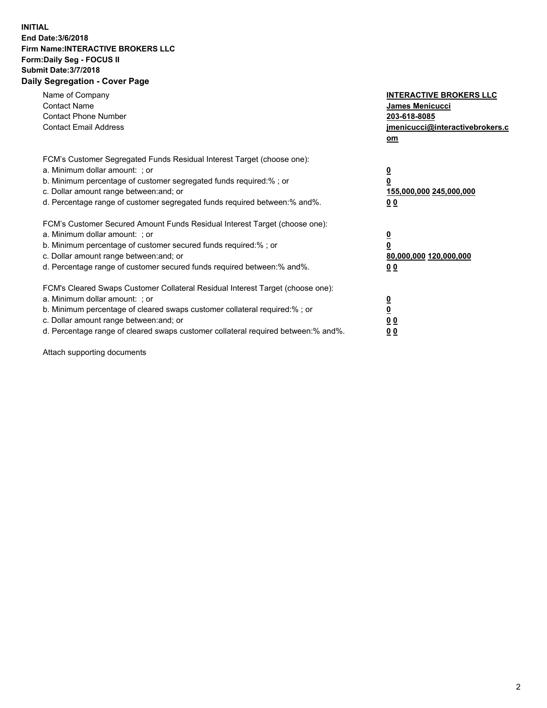## **INITIAL End Date:3/6/2018 Firm Name:INTERACTIVE BROKERS LLC Form:Daily Seg - FOCUS II Submit Date:3/7/2018 Daily Segregation - Cover Page**

| Name of Company<br><b>Contact Name</b><br><b>Contact Phone Number</b><br><b>Contact Email Address</b>                                                                                                                                                                                                                          | <b>INTERACTIVE BROKERS LLC</b><br>James Menicucci<br>203-618-8085<br>jmenicucci@interactivebrokers.c<br>om |
|--------------------------------------------------------------------------------------------------------------------------------------------------------------------------------------------------------------------------------------------------------------------------------------------------------------------------------|------------------------------------------------------------------------------------------------------------|
| FCM's Customer Segregated Funds Residual Interest Target (choose one):<br>a. Minimum dollar amount: ; or<br>b. Minimum percentage of customer segregated funds required:% ; or<br>c. Dollar amount range between: and; or<br>d. Percentage range of customer segregated funds required between:% and%.                         | $\overline{\mathbf{0}}$<br>0<br>155,000,000 245,000,000<br>0 <sub>0</sub>                                  |
| FCM's Customer Secured Amount Funds Residual Interest Target (choose one):<br>a. Minimum dollar amount: ; or<br>b. Minimum percentage of customer secured funds required:%; or<br>c. Dollar amount range between: and; or<br>d. Percentage range of customer secured funds required between: % and %.                          | $\overline{\mathbf{0}}$<br>0<br>80,000,000 120,000,000<br>0 <sub>0</sub>                                   |
| FCM's Cleared Swaps Customer Collateral Residual Interest Target (choose one):<br>a. Minimum dollar amount: ; or<br>b. Minimum percentage of cleared swaps customer collateral required:% ; or<br>c. Dollar amount range between: and; or<br>d. Percentage range of cleared swaps customer collateral required between:% and%. | $\overline{\mathbf{0}}$<br>$\overline{\mathbf{0}}$<br>0 <sub>0</sub><br>0 <sub>0</sub>                     |

Attach supporting documents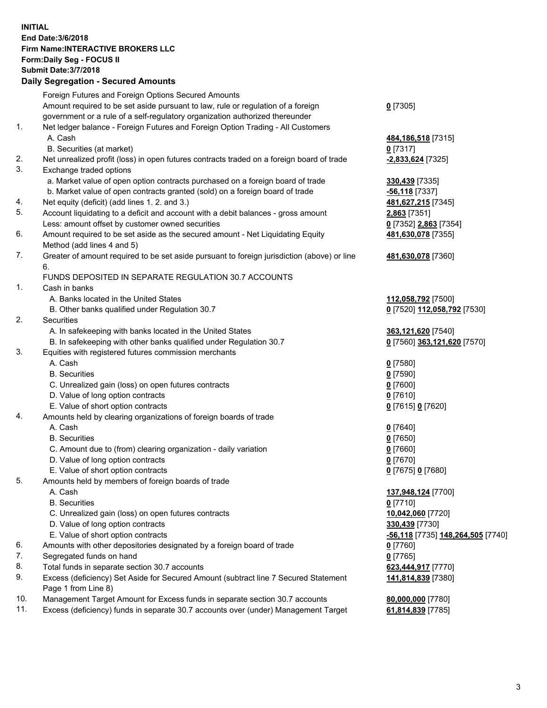## **INITIAL End Date:3/6/2018 Firm Name:INTERACTIVE BROKERS LLC Form:Daily Seg - FOCUS II Submit Date:3/7/2018 Daily Segregation - Secured Amounts**

|     | Foreign Futures and Foreign Options Secured Amounts                                         |                                   |
|-----|---------------------------------------------------------------------------------------------|-----------------------------------|
|     | Amount required to be set aside pursuant to law, rule or regulation of a foreign            | $0$ [7305]                        |
|     | government or a rule of a self-regulatory organization authorized thereunder                |                                   |
| 1.  | Net ledger balance - Foreign Futures and Foreign Option Trading - All Customers             |                                   |
|     | A. Cash                                                                                     | 484, 186, 518 [7315]              |
|     | B. Securities (at market)                                                                   | $0$ [7317]                        |
| 2.  | Net unrealized profit (loss) in open futures contracts traded on a foreign board of trade   | -2,833,624 [7325]                 |
| 3.  | Exchange traded options                                                                     |                                   |
|     | a. Market value of open option contracts purchased on a foreign board of trade              | 330,439 [7335]                    |
|     | b. Market value of open contracts granted (sold) on a foreign board of trade                | -56,118 <sub>[7337]</sub>         |
| 4.  | Net equity (deficit) (add lines 1.2. and 3.)                                                | 481,627,215 [7345]                |
| 5.  | Account liquidating to a deficit and account with a debit balances - gross amount           |                                   |
|     |                                                                                             | 2,863 [7351]                      |
|     | Less: amount offset by customer owned securities                                            | 0 [7352] 2,863 [7354]             |
| 6.  | Amount required to be set aside as the secured amount - Net Liquidating Equity              | 481,630,078 [7355]                |
|     | Method (add lines 4 and 5)                                                                  |                                   |
| 7.  | Greater of amount required to be set aside pursuant to foreign jurisdiction (above) or line | 481,630,078 [7360]                |
|     | 6.                                                                                          |                                   |
|     | FUNDS DEPOSITED IN SEPARATE REGULATION 30.7 ACCOUNTS                                        |                                   |
| 1.  | Cash in banks                                                                               |                                   |
|     | A. Banks located in the United States                                                       | 112,058,792 [7500]                |
|     | B. Other banks qualified under Regulation 30.7                                              | 0 [7520] 112,058,792 [7530]       |
| 2.  | Securities                                                                                  |                                   |
|     | A. In safekeeping with banks located in the United States                                   | 363,121,620 [7540]                |
|     | B. In safekeeping with other banks qualified under Regulation 30.7                          | 0 [7560] 363,121,620 [7570]       |
| 3.  | Equities with registered futures commission merchants                                       |                                   |
|     | A. Cash                                                                                     | $0$ [7580]                        |
|     | <b>B.</b> Securities                                                                        | $0$ [7590]                        |
|     | C. Unrealized gain (loss) on open futures contracts                                         | $0$ [7600]                        |
|     | D. Value of long option contracts                                                           | $0$ [7610]                        |
|     | E. Value of short option contracts                                                          | 0 [7615] 0 [7620]                 |
| 4.  | Amounts held by clearing organizations of foreign boards of trade                           |                                   |
|     | A. Cash                                                                                     | $0$ [7640]                        |
|     | <b>B.</b> Securities                                                                        | $0$ [7650]                        |
|     | C. Amount due to (from) clearing organization - daily variation                             | $0$ [7660]                        |
|     | D. Value of long option contracts                                                           | $0$ [7670]                        |
|     | E. Value of short option contracts                                                          | 0 [7675] 0 [7680]                 |
| 5.  | Amounts held by members of foreign boards of trade                                          |                                   |
|     | A. Cash                                                                                     | 137,948,124 [7700]                |
|     | <b>B.</b> Securities                                                                        | $0$ [7710]                        |
|     | C. Unrealized gain (loss) on open futures contracts                                         | 10,042,060 [7720]                 |
|     | D. Value of long option contracts                                                           | 330,439 [7730]                    |
|     | E. Value of short option contracts                                                          | -56,118 [7735] 148,264,505 [7740] |
| 6.  | Amounts with other depositories designated by a foreign board of trade                      | $0$ [7760]                        |
| 7.  | Segregated funds on hand                                                                    | $0$ [7765]                        |
| 8.  |                                                                                             |                                   |
|     | Total funds in separate section 30.7 accounts                                               | 623,444,917 [7770]                |
| 9.  | Excess (deficiency) Set Aside for Secured Amount (subtract line 7 Secured Statement         | 141,814,839 [7380]                |
|     | Page 1 from Line 8)                                                                         |                                   |
| 10. | Management Target Amount for Excess funds in separate section 30.7 accounts                 | 80,000,000 [7780]                 |
| 11. | Excess (deficiency) funds in separate 30.7 accounts over (under) Management Target          | 61,814,839 [7785]                 |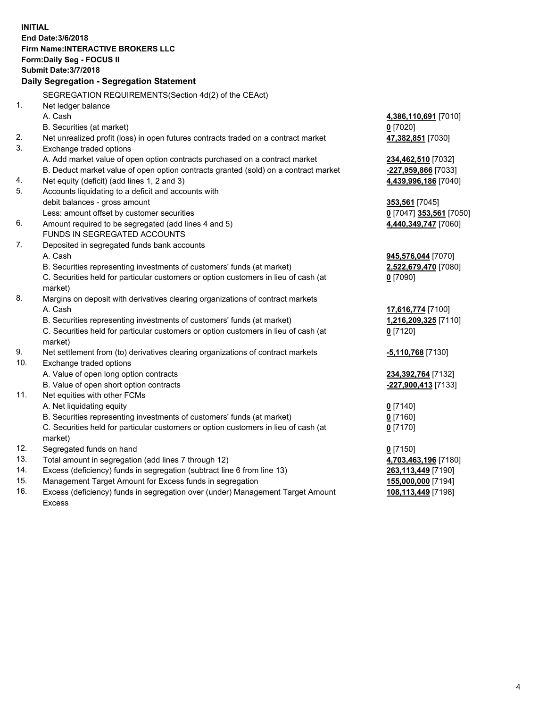**INITIAL End Date:3/6/2018 Firm Name:INTERACTIVE BROKERS LLC Form:Daily Seg - FOCUS II Submit Date:3/7/2018 Daily Segregation - Segregation Statement** SEGREGATION REQUIREMENTS(Section 4d(2) of the CEAct) 1. Net ledger balance A. Cash **4,386,110,691** [7010] B. Securities (at market) **0** [7020] 2. Net unrealized profit (loss) in open futures contracts traded on a contract market **47,382,851** [7030] 3. Exchange traded options A. Add market value of open option contracts purchased on a contract market **234,462,510** [7032] B. Deduct market value of open option contracts granted (sold) on a contract market **-227,959,866** [7033] 4. Net equity (deficit) (add lines 1, 2 and 3) **4,439,996,186** [7040] 5. Accounts liquidating to a deficit and accounts with debit balances - gross amount **353,561** [7045] Less: amount offset by customer securities **0** [7047] **353,561** [7050] 6. Amount required to be segregated (add lines 4 and 5) **4,440,349,747** [7060] FUNDS IN SEGREGATED ACCOUNTS 7. Deposited in segregated funds bank accounts A. Cash **945,576,044** [7070] B. Securities representing investments of customers' funds (at market) **2,522,679,470** [7080] C. Securities held for particular customers or option customers in lieu of cash (at market) **0** [7090] 8. Margins on deposit with derivatives clearing organizations of contract markets A. Cash **17,616,774** [7100] B. Securities representing investments of customers' funds (at market) **1,216,209,325** [7110] C. Securities held for particular customers or option customers in lieu of cash (at market) **0** [7120] 9. Net settlement from (to) derivatives clearing organizations of contract markets **-5,110,768** [7130] 10. Exchange traded options A. Value of open long option contracts **234,392,764** [7132] B. Value of open short option contracts **-227,900,413** [7133] 11. Net equities with other FCMs A. Net liquidating equity **0** [7140] B. Securities representing investments of customers' funds (at market) **0** [7160] C. Securities held for particular customers or option customers in lieu of cash (at market) **0** [7170] 12. Segregated funds on hand **0** [7150] 13. Total amount in segregation (add lines 7 through 12) **4,703,463,196** [7180] 14. Excess (deficiency) funds in segregation (subtract line 6 from line 13) **263,113,449** [7190] 15. Management Target Amount for Excess funds in segregation **155,000,000** [7194] 16. Excess (deficiency) funds in segregation over (under) Management Target Amount **108,113,449** [7198]

Excess